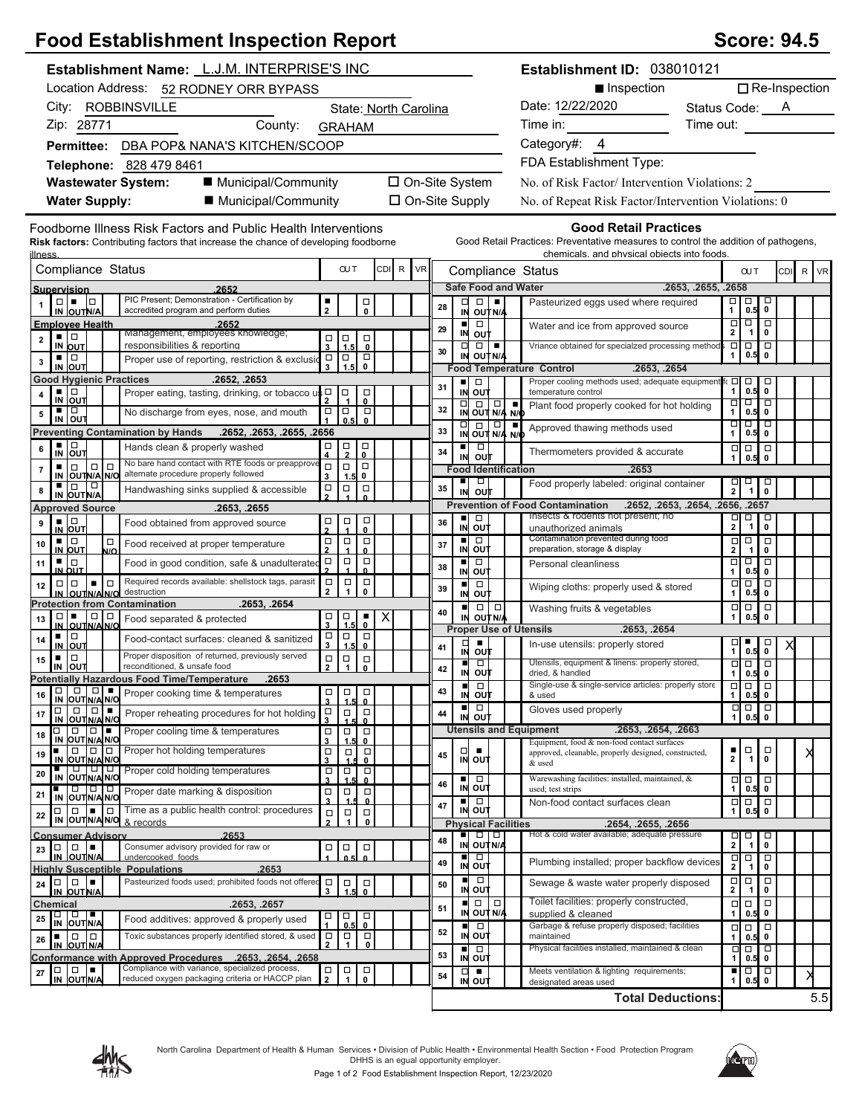## **Food Establishment Inspection Report Score: 94.5** Score: 94.5

| Establishment Name: L.J.M. INTERPRISE'S INC                                                                                                                            |                                            |                             |                        |                       |                       |    |                      |                                                                                                                                                                    |  | Establishment ID: 038010121                                                                                                                                       |                                   |                                                  |                                                           |                                  |                      |
|------------------------------------------------------------------------------------------------------------------------------------------------------------------------|--------------------------------------------|-----------------------------|------------------------|-----------------------|-----------------------|----|----------------------|--------------------------------------------------------------------------------------------------------------------------------------------------------------------|--|-------------------------------------------------------------------------------------------------------------------------------------------------------------------|-----------------------------------|--------------------------------------------------|-----------------------------------------------------------|----------------------------------|----------------------|
| Location Address: 52 RODNEY ORR BYPASS                                                                                                                                 |                                            |                             |                        |                       |                       |    |                      |                                                                                                                                                                    |  | ■ Inspection                                                                                                                                                      |                                   |                                                  |                                                           |                                  | $\Box$ Re-Inspection |
| City: ROBBINSVILLE                                                                                                                                                     |                                            |                             |                        | State: North Carolina |                       |    |                      |                                                                                                                                                                    |  | Date: 12/22/2020                                                                                                                                                  | Status Code: A                    |                                                  |                                                           |                                  |                      |
| Zip: 28771<br>County:                                                                                                                                                  | <b>GRAHAM</b>                              |                             |                        |                       |                       |    |                      |                                                                                                                                                                    |  | Time in:                                                                                                                                                          | Time out:                         |                                                  |                                                           |                                  |                      |
| Permittee: DBA POP& NANA'S KITCHEN/SCOOP                                                                                                                               |                                            |                             |                        |                       |                       |    |                      |                                                                                                                                                                    |  | Category#: 4                                                                                                                                                      |                                   |                                                  |                                                           |                                  |                      |
| Telephone: 828 479 8461                                                                                                                                                |                                            |                             |                        |                       |                       |    |                      |                                                                                                                                                                    |  | FDA Establishment Type:                                                                                                                                           |                                   |                                                  |                                                           |                                  |                      |
| ■ Municipal/Community<br><b>Wastewater System:</b>                                                                                                                     |                                            |                             |                        | □ On-Site System      |                       |    |                      |                                                                                                                                                                    |  | No. of Risk Factor/Intervention Violations: 2                                                                                                                     |                                   |                                                  |                                                           |                                  |                      |
| ■ Municipal/Community<br><b>Water Supply:</b>                                                                                                                          |                                            |                             |                        |                       | $\Box$ On-Site Supply |    |                      |                                                                                                                                                                    |  | No. of Repeat Risk Factor/Intervention Violations: 0                                                                                                              |                                   |                                                  |                                                           |                                  |                      |
|                                                                                                                                                                        |                                            |                             |                        |                       |                       |    |                      |                                                                                                                                                                    |  |                                                                                                                                                                   |                                   |                                                  |                                                           |                                  |                      |
| Foodborne Illness Risk Factors and Public Health Interventions<br><b>Risk factors:</b> Contributing factors that increase the chance of developing foodborne<br>llness |                                            |                             |                        |                       |                       |    |                      |                                                                                                                                                                    |  | <b>Good Retail Practices</b><br>Good Retail Practices: Preventative measures to control the addition of pathogens,<br>chemicals, and physical objects into foods. |                                   |                                                  |                                                           |                                  |                      |
| Compliance Status                                                                                                                                                      |                                            | <b>OUT</b>                  |                        | CDI R                 | <b>VR</b>             |    |                      |                                                                                                                                                                    |  | Compliance Status                                                                                                                                                 |                                   |                                                  | <b>OUT</b>                                                |                                  | CDI R VR             |
| 2652<br>Supervision                                                                                                                                                    |                                            |                             |                        |                       |                       |    |                      |                                                                                                                                                                    |  | <b>Safe Food and Water</b>                                                                                                                                        | .2653, .2655, .2658               |                                                  |                                                           |                                  |                      |
| PIC Present; Demonstration - Certification by<br>$\Box \quad \blacksquare \quad \Box$<br>accredited program and perform duties<br>IN OUTN/A                            | ٠                                          |                             | $\Box$<br>$\mathbf{0}$ |                       |                       | 28 | ᄆ<br>IN              | OUT N/A                                                                                                                                                            |  | Pasteurized eggs used where required                                                                                                                              |                                   |                                                  | $\begin{array}{c} \square \\ 1 \end{array}$ 0.5           | ᄝ                                |                      |
| <b>Emplovee Health</b><br>.2652<br>Management, employees knowledge;                                                                                                    |                                            |                             |                        |                       |                       | 29 | IN                   | $\Box$                                                                                                                                                             |  | Water and ice from approved source                                                                                                                                |                                   | $\Box$<br>$\overline{2}$                         | $\frac{1}{\sqrt{1}}$                                      | $\overline{\Box}$<br>$\mathbf 0$ |                      |
| ▪ ▏□<br>$\mathbf{2}$<br>responsibilities & reporting<br>IN OUT                                                                                                         | о<br>$\overline{\mathbf{3}}$               | $\vert_{\stackrel{1}{1.5}}$ | <b>ㅁ</b>               |                       |                       | 30 | $\Box$               | out<br>$\Box$                                                                                                                                                      |  | Vriance obtained for specialzed processing method                                                                                                                 |                                   | Ξ                                                | $\overline{\blacksquare}$                                 | $\overline{\Box}$                |                      |
| ▪ ▏□<br>Proper use of reporting, restriction & exclusion<br>3<br>IN OUT                                                                                                | $\Box$<br>3                                | ∣□<br>1.5                   | $_{\rm 0}^{\square}$   |                       |                       |    |                      | IN OUT N/A                                                                                                                                                         |  | <b>Food Temperature Control</b><br>.2653, .2654                                                                                                                   |                                   | 1                                                | 0.5                                                       | $\mathbf 0$                      |                      |
| <b>Good Hygienic Practices</b><br>.2652, .2653                                                                                                                         |                                            |                             |                        |                       |                       | 31 | ٠                    | $\Box$                                                                                                                                                             |  | Proper cooling methods used; adequate equipment fo                                                                                                                |                                   | $\Box$                                           | $\overline{0.5}$                                          | $\Box$                           |                      |
| ▪ ▏□<br>Proper eating, tasting, drinking, or tobacco us D<br>4<br>IN OUT                                                                                               |                                            | ∣□                          | □<br>0                 |                       |                       |    |                      | IN OUT                                                                                                                                                             |  | temperature control<br>Plant food properly cooked for hot holding                                                                                                 |                                   | 1<br>□                                           | $\overline{\Box}$                                         | 0<br>$\overline{\blacksquare}$   |                      |
| ▪ ▏□<br>No discharge from eyes, nose, and mouth<br>5<br>IN OUT                                                                                                         | $\frac{1}{1}$                              | ∣□<br>0.5                   | $\Box$<br>$\mathbf{0}$ |                       |                       | 32 |                      | $\begin{array}{ c c c }\n\hline\n\Box & \Box & \Box & \Box \\ \hline\n\vdots & \ddots & \ddots & \ddots \\ \hline\n\vdots & \ddots & \ddots & \ddots\n\end{array}$ |  |                                                                                                                                                                   |                                   | 1                                                | 0.5<br>णण                                                 | $\pmb{0}$<br>−                   |                      |
| <b>Preventing Contamination by Hands</b><br>.2652, .2653, .2655, .2656                                                                                                 |                                            |                             |                        |                       |                       | 33 |                      | $\frac{1}{N}$ out $\frac{1}{N/4}$ $\frac{1}{N/6}$                                                                                                                  |  | Approved thawing methods used                                                                                                                                     |                                   | 1                                                | 0.5                                                       | 0                                |                      |
| $\frac{1}{N}$ out<br>Hands clean & properly washed<br>6                                                                                                                | $\Box$                                     | $\Box$<br>$\overline{2}$    | $\Box$<br>0            |                       |                       | 34 | IN                   | $\Box$<br>ουτ                                                                                                                                                      |  | Thermometers provided & accurate                                                                                                                                  |                                   | $\Box$                                           | $\Box$<br>0.5                                             | $\Box$<br>$\mathbf 0$            |                      |
| No bare hand contact with RTE foods or preapprove<br>$\Box   \Box$<br>$\Box$<br>$\overline{7}$<br>alternate procedure properly followed<br>IN OUTN/A N/O               | $\Box$<br>3                                | $\Box$<br>1.5               | $\Box$<br>0            |                       |                       |    |                      | <b>Food Identification</b>                                                                                                                                         |  | .2653                                                                                                                                                             |                                   |                                                  |                                                           |                                  |                      |
| ■∣□<br>$\Box$<br>Handwashing sinks supplied & accessible<br>8<br>IN OUT N/A                                                                                            | $\Box$                                     | $\Box$                      | $\Box$                 |                       |                       | 35 | ■<br>IN              | $\Box$<br>o∪t                                                                                                                                                      |  | Food properly labeled: original container                                                                                                                         |                                   | $\frac{1}{2}$                                    | 耳                                                         | 5<br>0                           |                      |
| <b>Approved Source</b><br>.2653, .2655                                                                                                                                 |                                            |                             |                        |                       |                       |    |                      |                                                                                                                                                                    |  | <b>Prevention of Food Contamination</b>                                                                                                                           | .2652, .2653, .2654, .2656, .2657 |                                                  |                                                           |                                  |                      |
| $\frac{1}{N}$ out<br>Food obtained from approved source<br>9                                                                                                           | 口<br>2                                     | $\frac{\Box}{4}$            | о<br>$\mathbf{0}$      |                       |                       | 36 | ٠<br>IN              | $\Box$<br>out                                                                                                                                                      |  | Insects & rodents not present; no<br>unauthorized animals                                                                                                         |                                   | $\frac{\Box}{2}$                                 | $\begin{array}{c}\n\Box \\ \hline\n1\n\end{array}$        | $\overline{\mathsf{c}}$          |                      |
| ▪ ▏□<br>$\Box$<br>Food received at proper temperature<br>10                                                                                                            | $\Box$<br>$\overline{2}$                   | $\Box$                      | $\Box$                 |                       |                       | 37 | $\blacksquare$<br>IN | þ<br>out                                                                                                                                                           |  | Contamination prevented during food<br>preparation, storage & display                                                                                             |                                   | $\Box$<br>$\mathbf{2}$                           | $\Box$                                                    | $\Box$<br>$\mathbf 0$            |                      |
| <b>IN OUT</b><br>N/O<br>▪ ▏□<br>Food in good condition, safe & unadulterated<br>11                                                                                     | $\Box$                                     | $\Box$                      | $\mathbf{0}$<br>□      |                       |                       | 38 | ٠                    | $\Box$                                                                                                                                                             |  | Personal cleanliness                                                                                                                                              |                                   | $\Box$                                           | $\mathbf{1}$<br>Ξ                                         | □                                |                      |
| IN OUT<br>Required records available: shellstock tags, parasit<br>$\Box$<br>$\Box$<br>$\blacksquare$<br>12                                                             | $\Box$                                     | $\Box$                      | 0<br>$\Box$            |                       |                       |    | IN<br>п              | out<br>$\Box$                                                                                                                                                      |  |                                                                                                                                                                   |                                   | 1<br>$\Box$                                      | 0.5<br>$\Box$                                             | $\mathbf 0$<br>$\Box$            |                      |
| destruction<br>IN OUTNANO                                                                                                                                              | $\overline{2}$                             | $\mathbf{1}$                | 0                      |                       |                       | 39 | IN                   | ουτ                                                                                                                                                                |  | Wiping cloths: properly used & stored                                                                                                                             |                                   |                                                  | 0.5                                                       | 0                                |                      |
| .2653, .2654<br><b>Protection from Contamination</b><br>  0   0  <br>□□■<br>13<br>Food separated & protected                                                           | п                                          | $\Box$                      | ٠                      | $\pmb{\times}$        |                       | 40 | $\blacksquare$<br>IN | $\Box   \Box  $<br>OUT N/A                                                                                                                                         |  | Washing fruits & vegetables                                                                                                                                       |                                   | $\Box$<br>1                                      | $\overline{0.5}$                                          | $\Box$<br>$\mathbf 0$            |                      |
| IN OUTNANC<br>■Ⅰ□<br>Food-contact surfaces: cleaned & sanitized<br>14                                                                                                  | $\mathbf{3}$<br>$\Box$                     | 1.5<br>$\Box$               | 0<br>$\Box$            |                       |                       |    |                      |                                                                                                                                                                    |  | <b>Proper Use of Utensils</b><br>.2653, .2654                                                                                                                     |                                   |                                                  |                                                           |                                  |                      |
| IN OUT<br>Proper disposition of returned, previously served<br>$\Box$<br>٠                                                                                             | 3<br>$\Box$                                | 1.5                         | $\mathbf{0}$           |                       |                       | 41 | □<br>IN              | out                                                                                                                                                                |  | In-use utensils: properly stored                                                                                                                                  |                                   | □<br>1                                           | $\overline{0.5}$                                          |                                  |                      |
| 15<br>IN OUT<br>reconditioned, & unsafe food                                                                                                                           | $\overline{2}$                             | $\Box$<br>$\mathbf{1}$      | $_{\rm 0}^{\square}$   |                       |                       | 42 | IN                   | $\Box$<br>ουτ                                                                                                                                                      |  | Utensils, equipment & linens: properly stored,<br>dried, & handled                                                                                                |                                   | $\Box$<br>1                                      | $\overline{\Box}$<br>0.5                                  | $\overline{\Box}$<br>0           |                      |
| <b>Potentially Hazardous Food Time/Temperature</b><br>.2653<br><b>DOWNAM</b> Proper cooking time & temperatures                                                        | $\Box$                                     | $\Box$                      | $\Box$                 |                       |                       | 43 | п                    | $\Box$                                                                                                                                                             |  | Single-use & single-service articles: properly store                                                                                                              |                                   | $\Box$                                           | $\overline{\Box}$                                         | $\overline{\Box}$                |                      |
| IN OUT N/A N/O<br>$\Box$<br>□□■                                                                                                                                        | $\overline{\mathbf{3}}$                    | 1.5<br>$\Box$               | $\mathbf{0}$<br>$\Box$ |                       |                       |    | ٠                    | IN OUT<br>$\Box$                                                                                                                                                   |  | & used<br>Gloves used properly                                                                                                                                    |                                   | $\begin{array}{c}\n\Box \\ \Lambda\n\end{array}$ | $\begin{array}{c} 0.5 \\ 0.5 \end{array}$                 | $\mathbf 0$<br>$\Box$            |                      |
| Proper reheating procedures for hot holding<br>17<br>OUTN/A N/O<br>IN<br>O.<br>$\Box$<br>$\blacksquare$<br>П                                                           | $\begin{array}{c}\n\Box \\ 3\n\end{array}$ |                             |                        |                       |                       | 44 |                      | IN OUT                                                                                                                                                             |  | <b>Utensils and Equipment</b><br>.2653, .2654, .2663                                                                                                              |                                   |                                                  |                                                           |                                  |                      |
| Proper cooling time & temperatures<br>18<br>IN OUT N/A N/O                                                                                                             | $\begin{array}{c}\n\Box \\ 3\n\end{array}$ | $\Box$<br>1.5               | $\Box$<br>$\mathbf{0}$ |                       |                       |    |                      |                                                                                                                                                                    |  | Equipment, food & non-food contact surfaces                                                                                                                       |                                   |                                                  |                                                           |                                  |                      |
| $\Box$<br>Proper hot holding temperatures<br>19<br>IN OUT N/A N/O                                                                                                      | $\Box$<br>3                                | $\Box$                      | $\Box$<br>0            |                       |                       | 45 | $\Box$               | ٠<br>IN OUT                                                                                                                                                        |  | approved, cleanable, properly designed, constructed,<br>& used                                                                                                    |                                   | п<br>2                                           | $\Box$<br>$\overline{1}$                                  | $\Box$<br>$\mathbf 0$            |                      |
| णणण<br>Proper cold holding temperatures<br>20<br>IN OUT N/A N/O                                                                                                        | $\Box$<br>$\overline{\mathbf{3}}$          | о                           | $_{\rm o}^{\Box}$      |                       |                       | 46 |                      | ■□□                                                                                                                                                                |  | Warewashing facilities: installed, maintained, &                                                                                                                  |                                   | $\Box$                                           | $\begin{array}{c} 0.5 \\ 0.5 \end{array}$                 | $\Box$                           |                      |
| <b>000</b><br>Proper date marking & disposition<br>21<br>IN OUT N/A N/O                                                                                                | $\Box$<br>3                                | $\Box$                      | σ<br>$\mathbf{0}$      |                       |                       |    |                      | IN OUT<br>■□□                                                                                                                                                      |  | used; test strips<br>Non-food contact surfaces clean                                                                                                              |                                   | 1<br>$\Box$                                      | $\Box$                                                    |                                  |                      |
| Time as a public health control: procedures<br>$\Box\Box\Box\blacksquare$<br>$\Box$<br>22<br>IN OUT N/A N/O & records                                                  | $\Box$                                     | $\Box$                      | $\Box$                 |                       |                       | 47 |                      | IN OUT                                                                                                                                                             |  |                                                                                                                                                                   |                                   | 1                                                | $0.5$ 0                                                   |                                  |                      |
| <b>Consumer Advisory</b><br>.2653                                                                                                                                      | $\mathbf{2}$                               | $\mathbf{1}$                | 0                      |                       |                       |    |                      | <b>Physical Facilities</b><br><b>-</b> 0 0                                                                                                                         |  | .2654, .2655, .2656<br>Hot & cold water available; adequate pressure                                                                                              |                                   | $\Box$                                           | □                                                         | $\Box$                           |                      |
| Consumer advisory provided for raw or<br>$\Box$<br>$\Box$<br>23                                                                                                        | $\Box$                                     | $\Box$                      | о                      |                       |                       | 48 | IN                   | OUT N/A                                                                                                                                                            |  |                                                                                                                                                                   |                                   | 2 <sup>1</sup>                                   | $\overline{1}$                                            | $\pmb{0}$                        |                      |
| IN OUTN/A<br>undercooked foods<br><b>Highly Susceptible Populations</b><br>.2653                                                                                       |                                            | 0.5                         |                        |                       |                       | 49 | ٠                    | Ξ<br>IN OUT                                                                                                                                                        |  | Plumbing installed; proper backflow devices                                                                                                                       |                                   | $\overline{\mathbf{r}}$                          | $\begin{array}{c}\n\Box \\ 1\n\end{array}$                | þ<br>$\pmb{0}$                   |                      |
| Pasteurized foods used; prohibited foods not offered<br>$\Box$<br>$\Box$<br>I.<br>24                                                                                   | $\Box$<br>3                                | $\Box$<br>1.5               | 口<br>0                 |                       |                       | 50 |                      | $\Box$<br>IN OUT                                                                                                                                                   |  | Sewage & waste water properly disposed                                                                                                                            |                                   | $\frac{\Box}{2}$                                 | $\begin{array}{c}\n\hline\n\vdots \\ \hline\n\end{array}$ | $\Box$<br>0                      |                      |
| IN OUT N/A<br>.2653, .2657<br>Chemical                                                                                                                                 |                                            |                             |                        |                       |                       | 51 |                      | $\Box$                                                                                                                                                             |  | Toilet facilities: properly constructed,                                                                                                                          |                                   | □                                                | $\Box$                                                    | $\Box$                           |                      |
| 0   0   <b>1</b><br>25<br>Food additives: approved & properly used<br>IN OUTNA                                                                                         | о                                          | $\Box$<br>0.5               | $\Box$<br>0            |                       |                       |    | IN                   | OUT N/A<br>. .                                                                                                                                                     |  | supplied & cleaned<br>Garbage & refuse properly disposed; facilities                                                                                              |                                   | 1<br>$\Box$                                      | 0.5<br>$\Box$                                             | 0<br>$\Box$                      |                      |
| Toxic substances properly identified stored, & used<br>10 IO<br>٠<br>26<br>IN OUT N/A                                                                                  | $\Box$<br>$\overline{2}$                   | $\frac{\Box}{1}$            | $\overline{\bullet}$   |                       |                       | 52 |                      | IN OUT                                                                                                                                                             |  | maintained                                                                                                                                                        |                                   | $\mathbf{1}$                                     | 0.5                                                       | 0                                |                      |
| Conformance with Approved Procedures .2653. .2654. .2658                                                                                                               |                                            |                             |                        |                       |                       | 53 | ■                    | $\Box$<br>IN OUT                                                                                                                                                   |  | Physical facilities installed, maintained & clean                                                                                                                 |                                   | $\Box$<br>$\mathbf{1}$                           | $\Box$<br>0.5                                             | $\Box$<br>$\mathbf 0$            |                      |
| Compliance with variance, specialized process,<br>$\mathbf{27}$<br>reduced oxygen packaging criteria or HACCP plan<br>IN OUTN/A                                        | $\Box$<br>$\overline{2}$                   | $\frac{\Box}{1}$            | о<br>0                 |                       |                       | 54 |                      | $\frac{1}{N}$ out                                                                                                                                                  |  | Meets ventilation & lighting requirements;<br>designated areas used                                                                                               |                                   | ٠<br>$\mathbf{1}$                                | $\Box$<br>0.5                                             | þ<br>$\pmb{0}$                   |                      |
|                                                                                                                                                                        |                                            |                             |                        |                       |                       |    |                      |                                                                                                                                                                    |  |                                                                                                                                                                   |                                   |                                                  |                                                           |                                  |                      |



**Total Deductions:**

5.5